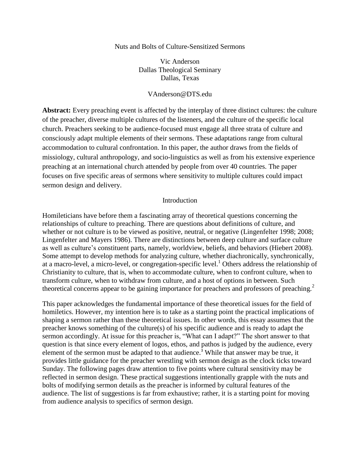#### Nuts and Bolts of Culture-Sensitized Sermons

Vic Anderson Dallas Theological Seminary Dallas, Texas

## VAnderson@DTS.edu

**Abstract:** Every preaching event is affected by the interplay of three distinct cultures: the culture of the preacher, diverse multiple cultures of the listeners, and the culture of the specific local church. Preachers seeking to be audience-focused must engage all three strata of culture and consciously adapt multiple elements of their sermons. These adaptations range from cultural accommodation to cultural confrontation. In this paper, the author draws from the fields of missiology, cultural anthropology, and socio-linguistics as well as from his extensive experience preaching at an international church attended by people from over 40 countries. The paper focuses on five specific areas of sermons where sensitivity to multiple cultures could impact sermon design and delivery.

#### Introduction

Homileticians have before them a fascinating array of theoretical questions concerning the relationships of culture to preaching. There are questions about definitions of culture, and whether or not culture is to be viewed as positive, neutral, or negative [\(Lingenfelter 1998;](#page-6-0) [2008;](#page-6-1) [Lingenfelter and Mayers 1986\)](#page-6-2). There are distinctions between deep culture and surface culture as well as culture's constituent parts, namely, worldview, beliefs, and behaviors [\(Hiebert 2008\)](#page-6-3). Some attempt to develop methods for analyzing culture, whether diachronically, synchronically, at a macro-level, a micro-level, or congregation-specific level.<sup>1</sup> Others address the relationship of Christianity to culture, that is, when to accommodate culture, when to confront culture, when to transform culture, when to withdraw from culture, and a host of options in between. Such theoretical concerns appear to be gaining importance for preachers and professors of preaching.<sup>2</sup>

This paper acknowledges the fundamental importance of these theoretical issues for the field of homiletics. However, my intention here is to take as a starting point the practical implications of shaping a sermon rather than these theoretical issues. In other words, this essay assumes that the preacher knows something of the culture(s) of his specific audience and is ready to adapt the sermon accordingly. At issue for this preacher is, "What can I adapt?" The short answer to that question is that since every element of logos, ethos, and pathos is judged by the audience, every element of the sermon must be adapted to that audience.<sup>3</sup> While that answer may be true, it provides little guidance for the preacher wrestling with sermon design as the clock ticks toward Sunday. The following pages draw attention to five points where cultural sensitivity may be reflected in sermon design. These practical suggestions intentionally grapple with the nuts and bolts of modifying sermon details as the preacher is informed by cultural features of the audience. The list of suggestions is far from exhaustive; rather, it is a starting point for moving from audience analysis to specifics of sermon design.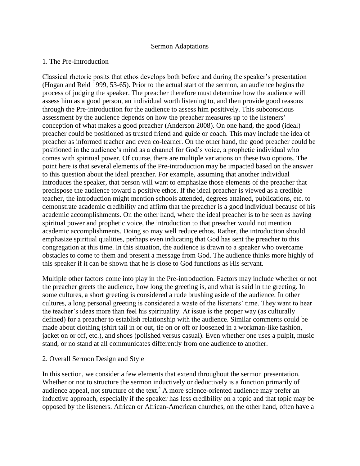#### Sermon Adaptations

## 1. The Pre-Introduction

Classical rhetoric posits that ethos develops both before and during the speaker's presentation [\(Hogan and Reid 1999, 53-65\)](#page-6-4). Prior to the actual start of the sermon, an audience begins the process of judging the speaker. The preacher therefore must determine how the audience will assess him as a good person, an individual worth listening to, and then provide good reasons through the Pre-introduction for the audience to assess him positively. This subconscious assessment by the audience depends on how the preacher measures up to the listeners' conception of what makes a good preacher [\(Anderson 2008\)](#page-6-5). On one hand, the good (ideal) preacher could be positioned as trusted friend and guide or coach. This may include the idea of preacher as informed teacher and even co-learner. On the other hand, the good preacher could be positioned in the audience's mind as a channel for God's voice, a prophetic individual who comes with spiritual power. Of course, there are multiple variations on these two options. The point here is that several elements of the Pre-introduction may be impacted based on the answer to this question about the ideal preacher. For example, assuming that another individual introduces the speaker, that person will want to emphasize those elements of the preacher that predispose the audience toward a positive ethos. If the ideal preacher is viewed as a credible teacher, the introduction might mention schools attended, degrees attained, publications, etc. to demonstrate academic credibility and affirm that the preacher is a good individual because of his academic accomplishments. On the other hand, where the ideal preacher is to be seen as having spiritual power and prophetic voice, the introduction to that preacher would not mention academic accomplishments. Doing so may well reduce ethos. Rather, the introduction should emphasize spiritual qualities, perhaps even indicating that God has sent the preacher to this congregation at this time. In this situation, the audience is drawn to a speaker who overcame obstacles to come to them and present a message from God. The audience thinks more highly of this speaker if it can be shown that he is close to God functions as His servant.

Multiple other factors come into play in the Pre-introduction. Factors may include whether or not the preacher greets the audience, how long the greeting is, and what is said in the greeting. In some cultures, a short greeting is considered a rude brushing aside of the audience. In other cultures, a long personal greeting is considered a waste of the listeners' time. They want to hear the teacher's ideas more than feel his spirituality. At issue is the proper way (as culturally defined) for a preacher to establish relationship with the audience. Similar comments could be made about clothing (shirt tail in or out, tie on or off or loosened in a workman-like fashion, jacket on or off, etc.), and shoes (polished versus casual). Even whether one uses a pulpit, music stand, or no stand at all communicates differently from one audience to another.

#### 2. Overall Sermon Design and Style

In this section, we consider a few elements that extend throughout the sermon presentation. Whether or not to structure the sermon inductively or deductively is a function primarily of audience appeal, not structure of the text.<sup>4</sup> A more science-oriented audience may prefer an inductive approach, especially if the speaker has less credibility on a topic and that topic may be opposed by the listeners. African or African-American churches, on the other hand, often have a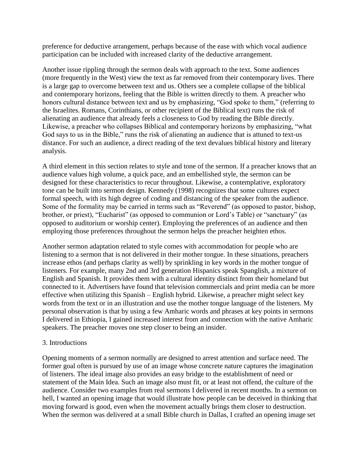preference for deductive arrangement, perhaps because of the ease with which vocal audience participation can be included with increased clarity of the deductive arrangement.

Another issue rippling through the sermon deals with approach to the text. Some audiences (more frequently in the West) view the text as far removed from their contemporary lives. There is a large gap to overcome between text and us. Others see a complete collapse of the biblical and contemporary horizons, feeling that the Bible is written directly to them. A preacher who honors cultural distance between text and us by emphasizing, "God spoke to them," (referring to the Israelites. Romans, Corinthians, or other recipient of the Biblical text) runs the risk of alienating an audience that already feels a closeness to God by reading the Bible directly. Likewise, a preacher who collapses Biblical and contemporary horizons by emphasizing, "what God says to us in the Bible," runs the risk of alienating an audience that is attuned to text-us distance. For such an audience, a direct reading of the text devalues biblical history and literary analysis.

A third element in this section relates to style and tone of the sermon. If a preacher knows that an audience values high volume, a quick pace, and an embellished style, the sermon can be designed for these characteristics to recur throughout. Likewise, a contemplative, exploratory tone can be built into sermon design. Kennedy [\(1998\)](#page-6-6) recognizes that some cultures expect formal speech, with its high degree of coding and distancing of the speaker from the audience. Some of the formality may be carried in terms such as "Reverend" (as opposed to pastor, bishop, brother, or priest), "Eucharist" (as opposed to communion or Lord's Table) or "sanctuary" (as opposed to auditorium or worship center). Employing the preferences of an audience and then employing those preferences throughout the sermon helps the preacher heighten ethos.

Another sermon adaptation related to style comes with accommodation for people who are listening to a sermon that is not delivered in their mother tongue. In these situations, preachers increase ethos (and perhaps clarity as well) by sprinkling in key words in the mother tongue of listeners. For example, many 2nd and 3rd generation Hispanics speak Spanglish, a mixture of English and Spanish. It provides them with a cultural identity distinct from their homeland but connected to it. Advertisers have found that television commercials and print media can be more effective when utilizing this Spanish – English hybrid. Likewise, a preacher might select key words from the text or in an illustration and use the mother tongue language of the listeners. My personal observation is that by using a few Amharic words and phrases at key points in sermons I delivered in Ethiopia, I gained increased interest from and connection with the native Amharic speakers. The preacher moves one step closer to being an insider.

## 3. Introductions

Opening moments of a sermon normally are designed to arrest attention and surface need. The former goal often is pursued by use of an image whose concrete nature captures the imagination of listeners. The ideal image also provides an easy bridge to the establishment of need or statement of the Main Idea. Such an image also must fit, or at least not offend, the culture of the audience. Consider two examples from real sermons I delivered in recent months. In a sermon on hell, I wanted an opening image that would illustrate how people can be deceived in thinking that moving forward is good, even when the movement actually brings them closer to destruction. When the sermon was delivered at a small Bible church in Dallas, I crafted an opening image set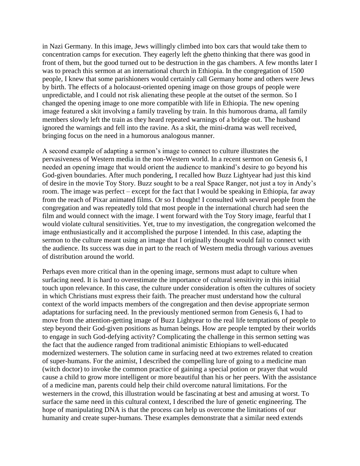in Nazi Germany. In this image, Jews willingly climbed into box cars that would take them to concentration camps for execution. They eagerly left the ghetto thinking that there was good in front of them, but the good turned out to be destruction in the gas chambers. A few months later I was to preach this sermon at an international church in Ethiopia. In the congregation of 1500 people, I knew that some parishioners would certainly call Germany home and others were Jews by birth. The effects of a holocaust-oriented opening image on those groups of people were unpredictable, and I could not risk alienating these people at the outset of the sermon. So I changed the opening image to one more compatible with life in Ethiopia. The new opening image featured a skit involving a family traveling by train. In this humorous drama, all family members slowly left the train as they heard repeated warnings of a bridge out. The husband ignored the warnings and fell into the ravine. As a skit, the mini-drama was well received, bringing focus on the need in a humorous analogous manner.

A second example of adapting a sermon's image to connect to culture illustrates the pervasiveness of Western media in the non-Western world. In a recent sermon on Genesis 6, I needed an opening image that would orient the audience to mankind's desire to go beyond his God-given boundaries. After much pondering, I recalled how Buzz Lightyear had just this kind of desire in the movie Toy Story. Buzz sought to be a real Space Ranger, not just a toy in Andy's room. The image was perfect – except for the fact that I would be speaking in Ethiopia, far away from the reach of Pixar animated films. Or so I thought! I consulted with several people from the congregation and was repeatedly told that most people in the international church had seen the film and would connect with the image. I went forward with the Toy Story image, fearful that I would violate cultural sensitivities. Yet, true to my investigation, the congregation welcomed the image enthusiastically and it accomplished the purpose I intended. In this case, adapting the sermon to the culture meant using an image that I originally thought would fail to connect with the audience. Its success was due in part to the reach of Western media through various avenues of distribution around the world.

Perhaps even more critical than in the opening image, sermons must adapt to culture when surfacing need. It is hard to overestimate the importance of cultural sensitivity in this initial touch upon relevance. In this case, the culture under consideration is often the cultures of society in which Christians must express their faith. The preacher must understand how the cultural context of the world impacts members of the congregation and then devise appropriate sermon adaptations for surfacing need. In the previously mentioned sermon from Genesis 6, I had to move from the attention-getting image of Buzz Lightyear to the real life temptations of people to step beyond their God-given positions as human beings. How are people tempted by their worlds to engage in such God-defying activity? Complicating the challenge in this sermon setting was the fact that the audience ranged from traditional animistic Ethiopians to well-educated modernized westerners. The solution came in surfacing need at two extremes related to creation of super-humans. For the animist, I described the compelling lure of going to a medicine man (witch doctor) to invoke the common practice of gaining a special potion or prayer that would cause a child to grow more intelligent or more beautiful than his or her peers. With the assistance of a medicine man, parents could help their child overcome natural limitations. For the westerners in the crowd, this illustration would be fascinating at best and amusing at worst. To surface the same need in this cultural context, I described the lure of genetic engineering. The hope of manipulating DNA is that the process can help us overcome the limitations of our humanity and create super-humans. These examples demonstrate that a similar need extends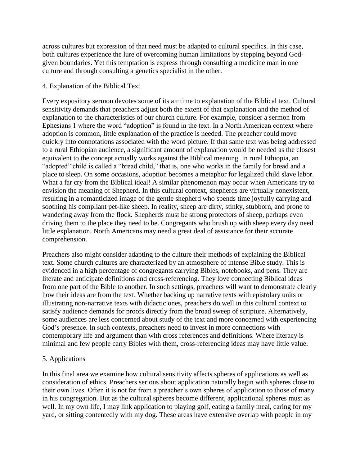across cultures but expression of that need must be adapted to cultural specifics. In this case, both cultures experience the lure of overcoming human limitations by stepping beyond Godgiven boundaries. Yet this temptation is express through consulting a medicine man in one culture and through consulting a genetics specialist in the other.

## 4. Explanation of the Biblical Text

Every expository sermon devotes some of its air time to explanation of the Biblical text. Cultural sensitivity demands that preachers adjust both the extent of that explanation and the method of explanation to the characteristics of our church culture. For example, consider a sermon from Ephesians 1 where the word "adoption" is found in the text. In a North American context where adoption is common, little explanation of the practice is needed. The preacher could move quickly into connotations associated with the word picture. If that same text was being addressed to a rural Ethiopian audience, a significant amount of explanation would be needed as the closest equivalent to the concept actually works against the Biblical meaning. In rural Ethiopia, an "adopted" child is called a "bread child," that is, one who works in the family for bread and a place to sleep. On some occasions, adoption becomes a metaphor for legalized child slave labor. What a far cry from the Biblical ideal! A similar phenomenon may occur when Americans try to envision the meaning of Shepherd. In this cultural context, shepherds are virtually nonexistent, resulting in a romanticized image of the gentle shepherd who spends time joyfully carrying and soothing his compliant pet-like sheep. In reality, sheep are dirty, stinky, stubborn, and prone to wandering away from the flock. Shepherds must be strong protectors of sheep, perhaps even driving them to the place they need to be. Congregants who brush up with sheep every day need little explanation. North Americans may need a great deal of assistance for their accurate comprehension.

Preachers also might consider adapting to the culture their methods of explaining the Biblical text. Some church cultures are characterized by an atmosphere of intense Bible study. This is evidenced in a high percentage of congregants carrying Bibles, notebooks, and pens. They are literate and anticipate definitions and cross-referencing. They love connecting Biblical ideas from one part of the Bible to another. In such settings, preachers will want to demonstrate clearly how their ideas are from the text. Whether backing up narrative texts with epistolary units or illustrating non-narrative texts with didactic ones, preachers do well in this cultural context to satisfy audience demands for proofs directly from the broad sweep of scripture. Alternatively, some audiences are less concerned about study of the text and more concerned with experiencing God's presence. In such contexts, preachers need to invest in more connections with contemporary life and argument than with cross references and definitions. Where literacy is minimal and few people carry Bibles with them, cross-referencing ideas may have little value.

# 5. Applications

In this final area we examine how cultural sensitivity affects spheres of applications as well as consideration of ethics. Preachers serious about application naturally begin with spheres close to their own lives. Often it is not far from a preacher's own spheres of application to those of many in his congregation. But as the cultural spheres become different, applicational spheres must as well. In my own life, I may link application to playing golf, eating a family meal, caring for my yard, or sitting contentedly with my dog. These areas have extensive overlap with people in my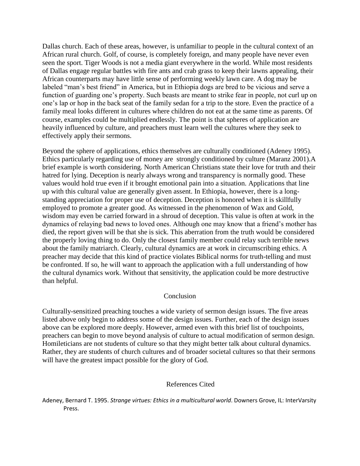Dallas church. Each of these areas, however, is unfamiliar to people in the cultural context of an African rural church. Golf, of course, is completely foreign, and many people have never even seen the sport. Tiger Woods is not a media giant everywhere in the world. While most residents of Dallas engage regular battles with fire ants and crab grass to keep their lawns appealing, their African counterparts may have little sense of performing weekly lawn care. A dog may be labeled "man's best friend" in America, but in Ethiopia dogs are bred to be vicious and serve a function of guarding one's property. Such beasts are meant to strike fear in people, not curl up on one's lap or hop in the back seat of the family sedan for a trip to the store. Even the practice of a family meal looks different in cultures where children do not eat at the same time as parents. Of course, examples could be multiplied endlessly. The point is that spheres of application are heavily influenced by culture, and preachers must learn well the cultures where they seek to effectively apply their sermons.

Beyond the sphere of applications, ethics themselves are culturally conditioned [\(Adeney 1995\)](#page-5-0). Ethics particularly regarding use of money are strongly conditioned by culture [\(Maranz 2001\)](#page-6-7).A brief example is worth considering. North American Christians state their love for truth and their hatred for lying. Deception is nearly always wrong and transparency is normally good. These values would hold true even if it brought emotional pain into a situation. Applications that line up with this cultural value are generally given assent. In Ethiopia, however, there is a longstanding appreciation for proper use of deception. Deception is honored when it is skillfully employed to promote a greater good. As witnessed in the phenomenon of Wax and Gold, wisdom may even be carried forward in a shroud of deception. This value is often at work in the dynamics of relaying bad news to loved ones. Although one may know that a friend's mother has died, the report given will be that she is sick. This aberration from the truth would be considered the properly loving thing to do. Only the closest family member could relay such terrible news about the family matriarch. Clearly, cultural dynamics are at work in circumscribing ethics. A preacher may decide that this kind of practice violates Biblical norms for truth-telling and must be confronted. If so, he will want to approach the application with a full understanding of how the cultural dynamics work. Without that sensitivity, the application could be more destructive than helpful.

## Conclusion

Culturally-sensitized preaching touches a wide variety of sermon design issues. The five areas listed above only begin to address some of the design issues. Further, each of the design issues above can be explored more deeply. However, armed even with this brief list of touchpoints, preachers can begin to move beyond analysis of culture to actual modification of sermon design. Homileticians are not students of culture so that they might better talk about cultural dynamics. Rather, they are students of church cultures and of broader societal cultures so that their sermons will have the greatest impact possible for the glory of God.

#### References Cited

<span id="page-5-0"></span>Adeney, Bernard T. 1995. *Strange virtues: Ethics in a multicultural world*. Downers Grove, IL: InterVarsity Press.